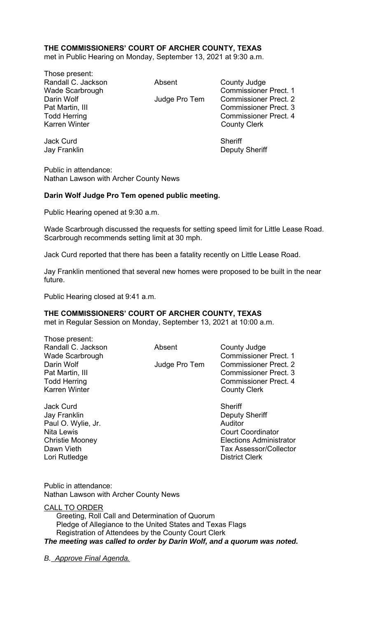## **THE COMMISSIONERS' COURT OF ARCHER COUNTY, TEXAS**

met in Public Hearing on Monday, September 13, 2021 at 9:30 a.m.

Those present: Randall C. Jackson **Absent** County Judge Karren Winter **County Clerk** 

Wade Scarbrough Commissioner Prect. 1 Darin Wolf **Internal Commissioner Prect.** 2 Pat Martin, III Commissioner Prect. 3 Todd Herring Todd Exercise Commissioner Prect. 4

Jay Franklin Deputy Sheriff

Jack Curd **Sheriff** 

Public in attendance: Nathan Lawson with Archer County News

### **Darin Wolf Judge Pro Tem opened public meeting.**

Public Hearing opened at 9:30 a.m.

Wade Scarbrough discussed the requests for setting speed limit for Little Lease Road. Scarbrough recommends setting limit at 30 mph.

Jack Curd reported that there has been a fatality recently on Little Lease Road.

Jay Franklin mentioned that several new homes were proposed to be built in the near future.

Public Hearing closed at 9:41 a.m.

Those present:

#### **THE COMMISSIONERS' COURT OF ARCHER COUNTY, TEXAS**

met in Regular Session on Monday, September 13, 2021 at 10:00 a.m.

| THOSE DIESEIII.      |               |                              |
|----------------------|---------------|------------------------------|
| Randall C. Jackson   | Absent        | County Judge                 |
| Wade Scarbrough      |               | <b>Commissioner Prect. 1</b> |
| Darin Wolf           | Judge Pro Tem | <b>Commissioner Prect. 2</b> |
| Pat Martin, III      |               | <b>Commissioner Prect. 3</b> |
| <b>Todd Herring</b>  |               | <b>Commissioner Prect. 4</b> |
| <b>Karren Winter</b> |               | <b>County Clerk</b>          |
| <b>Jack Curd</b>     |               | Sheriff                      |
| Jay Franklin         |               | <b>Deputy Sheriff</b>        |
| Paul O. Wylie, Jr.   |               | Auditor                      |
| <b>Nita Lewis</b>    |               | <b>Court Coordinator</b>     |

Christie Mooney Elections Administrator Dawn Vieth Tax Assessor/Collector Lori Rutledge **District Clerk** 

Public in attendance: Nathan Lawson with Archer County News

CALL TO ORDER Greeting, Roll Call and Determination of Quorum Pledge of Allegiance to the United States and Texas Flags Registration of Attendees by the County Court Clerk *The meeting was called to order by Darin Wolf, and a quorum was noted.* 

*B. Approve Final Agenda.*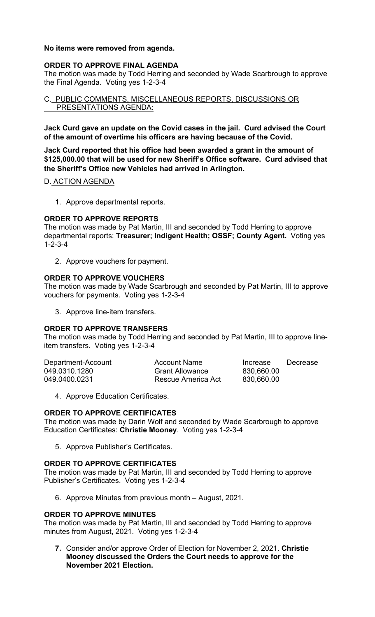### **No items were removed from agenda.**

## **ORDER TO APPROVE FINAL AGENDA**

The motion was made by Todd Herring and seconded by Wade Scarbrough to approve the Final Agenda. Voting yes 1-2-3-4

C. PUBLIC COMMENTS, MISCELLANEOUS REPORTS, DISCUSSIONS OR PRESENTATIONS AGENDA:

**Jack Curd gave an update on the Covid cases in the jail. Curd advised the Court of the amount of overtime his officers are having because of the Covid.** 

**Jack Curd reported that his office had been awarded a grant in the amount of \$125,000.00 that will be used for new Sheriff's Office software. Curd advised that the Sheriff's Office new Vehicles had arrived in Arlington.** 

### D. ACTION AGENDA

1. Approve departmental reports.

### **ORDER TO APPROVE REPORTS**

The motion was made by Pat Martin, III and seconded by Todd Herring to approve departmental reports: **Treasurer; Indigent Health; OSSF; County Agent.** Voting yes 1-2-3-4

2. Approve vouchers for payment.

## **ORDER TO APPROVE VOUCHERS**

The motion was made by Wade Scarbrough and seconded by Pat Martin, III to approve vouchers for payments. Voting yes 1-2-3-4

3. Approve line-item transfers.

# **ORDER TO APPROVE TRANSFERS**

The motion was made by Todd Herring and seconded by Pat Martin, III to approve lineitem transfers. Voting yes 1-2-3-4

| Department-Account | Account Name           | Increase   | Decrease |
|--------------------|------------------------|------------|----------|
| 049.0310.1280      | <b>Grant Allowance</b> | 830,660.00 |          |
| 049.0400.0231      | Rescue America Act     | 830,660.00 |          |

4. Approve Education Certificates.

### **ORDER TO APPROVE CERTIFICATES**

The motion was made by Darin Wolf and seconded by Wade Scarbrough to approve Education Certificates: **Christie Mooney**. Voting yes 1-2-3-4

5. Approve Publisher's Certificates.

### **ORDER TO APPROVE CERTIFICATES**

The motion was made by Pat Martin, III and seconded by Todd Herring to approve Publisher's Certificates. Voting yes 1-2-3-4

6. Approve Minutes from previous month – August, 2021.

### **ORDER TO APPROVE MINUTES**

The motion was made by Pat Martin, III and seconded by Todd Herring to approve minutes from August, 2021. Voting yes 1-2-3-4

**7.** Consider and/or approve Order of Election for November 2, 2021. **Christie Mooney discussed the Orders the Court needs to approve for the November 2021 Election.**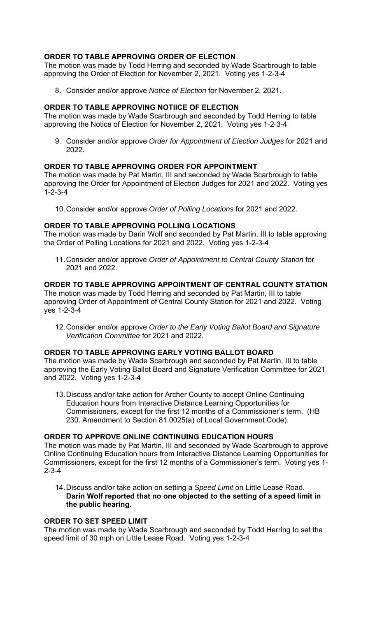# **ORDER TO TABLE APPROVING ORDER OF ELECTION**

The motion was made by Todd Herring and seconded by Wade Scarbrough to table approving the Order of Election for November 2, 2021. Voting yes 1-2-3-4

8. Consider and/or approve *Notice of Election* for November 2, 2021.

## **ORDER TO TABLE APPROVING NOTIICE OF ELECTION**

The motion was made by Wade Scarbrough and seconded by Todd Herring to table approving the Notice of Election for November 2, 2021. Voting yes 1-2-3-4

9. Consider and/or approve *Order for Appointment of Election Judges* for 2021 and 2022.

### **ORDER TO TABLE APPROVING ORDER FOR APPOINTMENT**

The motion was made by Pat Martin, III and seconded by Wade Scarbrough to table approving the Order for Appointment of Election Judges for 2021 and 2022. Voting yes  $1 - 2 - 3 - 4$ 

10. Consider and/or approve *Order of Polling Locations* for 2021 and 2022.

### **ORDER TO TABLE APPROVING POLLING LOCATIONS**

The motion was made by Darin Wolf and seconded by Pat Martin, III to table approving the Order of Polling Locations for 2021 and 2022. Voting yes 1-2-3-4

11. Consider and/or approve *Order of Appointment to Central County Station* for 2021 and 2022.

## **ORDER TO TABLE APPROVING APPOINTMENT OF CENTRAL COUNTY STATION**

The motion was made by Todd Herring and seconded by Pat Martin, III to table approving Order of Appointment of Central County Station for 2021 and 2022. Voting yes 1-2-3-4

12. Consider and/or approve *Order to the Early Voting Ballot Board and Signature Verification Committee* for 2021 and 2022.

## **ORDER TO TABLE APPROVING EARLY VOTING BALLOT BOARD**

The motion was made by Wade Scarbrough and seconded by Pat Martin, III to table approving the Early Voting Ballot Board and Signature Verification Committee for 2021 and 2022. Voting yes 1-2-3-4

13. Discuss and/or take action for Archer County to accept Online Continuing Education hours from Interactive Distance Learning Opportunities for Commissioners, except for the first 12 months of a Commissioner's term. (HB 230. Amendment to Section 81.0025(a) of Local Government Code).

### **ORDER TO APPROVE ONLINE CONTINUING EDUCATION HOURS**

The motion was made by Pat Martin, III and seconded by Wade Scarbrough to approve Online Continuing Education hours from Interactive Distance Learning Opportunities for Commissioners, except for the first 12 months of a Commissioner's term. Voting yes 1- 2-3-4

14. Discuss and/or take action on setting a *Speed Limit* on Little Lease Road. **Darin Wolf reported that no one objected to the setting of a speed limit in the public hearing.** 

## **ORDER TO SET SPEED LIMIT**

The motion was made by Wade Scarbrough and seconded by Todd Herring to set the speed limit of 30 mph on Little Lease Road. Voting yes 1-2-3-4